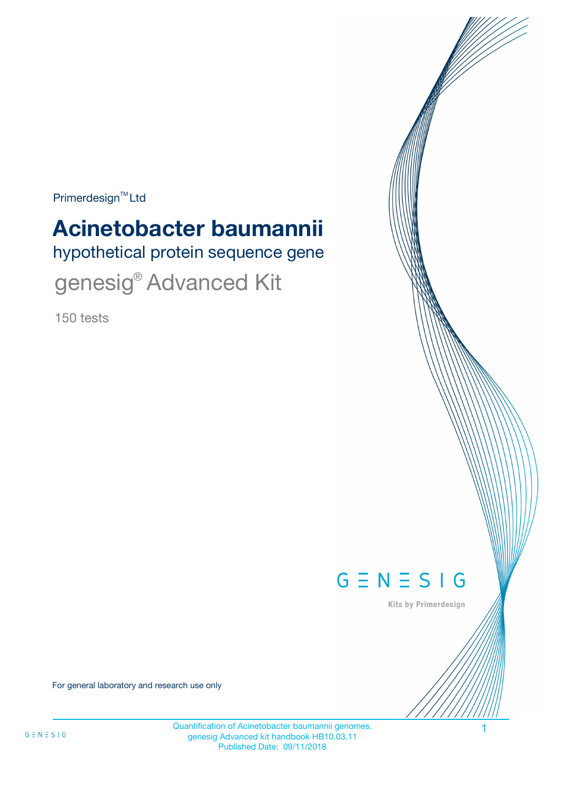$Primerdesign^{\text{TM}}$ Ltd

# **Acinetobacter baumannii**

hypothetical protein sequence gene

genesig<sup>®</sup> Advanced Kit

150 tests



Kits by Primerdesign

For general laboratory and research use only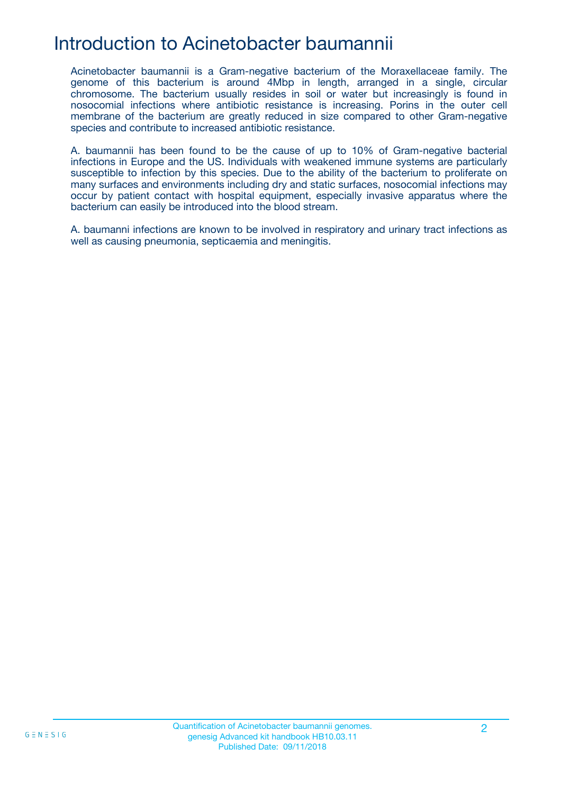### Introduction to Acinetobacter baumannii

Acinetobacter baumannii is a Gram-negative bacterium of the Moraxellaceae family. The genome of this bacterium is around 4Mbp in length, arranged in a single, circular chromosome. The bacterium usually resides in soil or water but increasingly is found in nosocomial infections where antibiotic resistance is increasing. Porins in the outer cell membrane of the bacterium are greatly reduced in size compared to other Gram-negative species and contribute to increased antibiotic resistance.

A. baumannii has been found to be the cause of up to 10% of Gram-negative bacterial infections in Europe and the US. Individuals with weakened immune systems are particularly susceptible to infection by this species. Due to the ability of the bacterium to proliferate on many surfaces and environments including dry and static surfaces, nosocomial infections may occur by patient contact with hospital equipment, especially invasive apparatus where the bacterium can easily be introduced into the blood stream.

A. baumanni infections are known to be involved in respiratory and urinary tract infections as well as causing pneumonia, septicaemia and meningitis.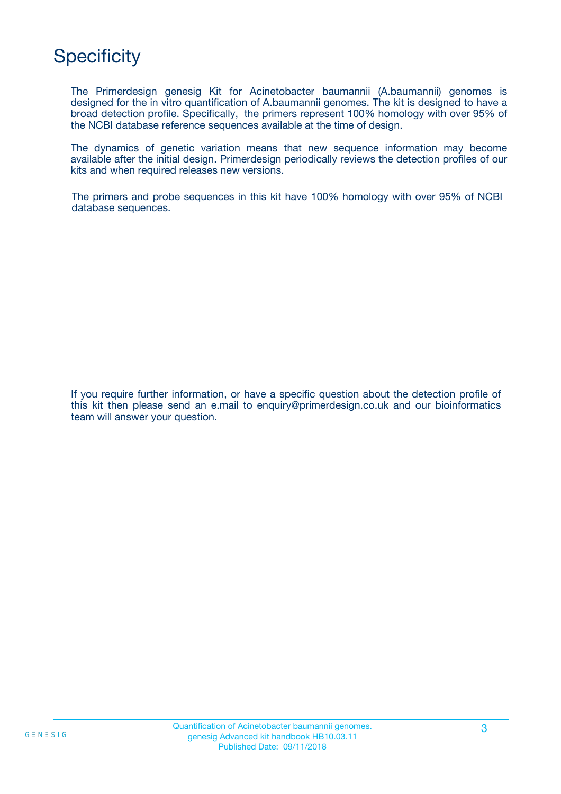# **Specificity**

The Primerdesign genesig Kit for Acinetobacter baumannii (A.baumannii) genomes is designed for the in vitro quantification of A.baumannii genomes. The kit is designed to have a broad detection profile. Specifically, the primers represent 100% homology with over 95% of the NCBI database reference sequences available at the time of design.

The dynamics of genetic variation means that new sequence information may become available after the initial design. Primerdesign periodically reviews the detection profiles of our kits and when required releases new versions.

The primers and probe sequences in this kit have 100% homology with over 95% of NCBI database sequences.

If you require further information, or have a specific question about the detection profile of this kit then please send an e.mail to enquiry@primerdesign.co.uk and our bioinformatics team will answer your question.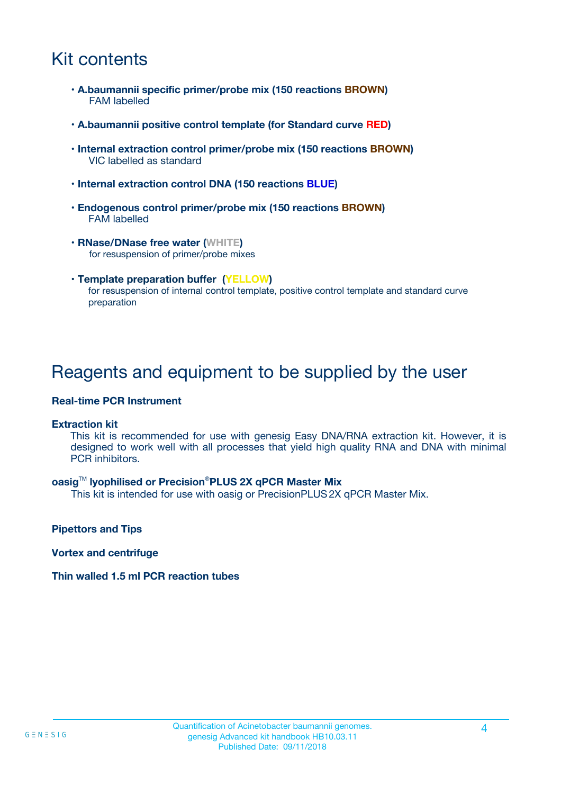### Kit contents

- **A.baumannii specific primer/probe mix (150 reactions BROWN)** FAM labelled
- **A.baumannii positive control template (for Standard curve RED)**
- **Internal extraction control primer/probe mix (150 reactions BROWN)** VIC labelled as standard
- **Internal extraction control DNA (150 reactions BLUE)**
- **Endogenous control primer/probe mix (150 reactions BROWN)** FAM labelled
- **RNase/DNase free water (WHITE)** for resuspension of primer/probe mixes
- **Template preparation buffer (YELLOW)** for resuspension of internal control template, positive control template and standard curve preparation

### Reagents and equipment to be supplied by the user

#### **Real-time PCR Instrument**

#### **Extraction kit**

This kit is recommended for use with genesig Easy DNA/RNA extraction kit. However, it is designed to work well with all processes that yield high quality RNA and DNA with minimal PCR inhibitors.

#### **oasig**TM **lyophilised or Precision**®**PLUS 2X qPCR Master Mix**

This kit is intended for use with oasig or PrecisionPLUS2X qPCR Master Mix.

**Pipettors and Tips**

**Vortex and centrifuge**

#### **Thin walled 1.5 ml PCR reaction tubes**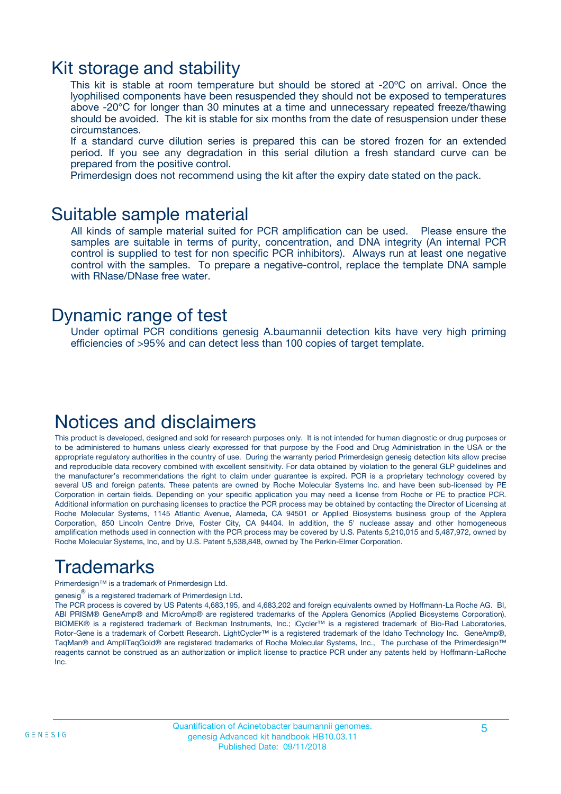### Kit storage and stability

This kit is stable at room temperature but should be stored at -20ºC on arrival. Once the lyophilised components have been resuspended they should not be exposed to temperatures above -20°C for longer than 30 minutes at a time and unnecessary repeated freeze/thawing should be avoided. The kit is stable for six months from the date of resuspension under these circumstances.

If a standard curve dilution series is prepared this can be stored frozen for an extended period. If you see any degradation in this serial dilution a fresh standard curve can be prepared from the positive control.

Primerdesign does not recommend using the kit after the expiry date stated on the pack.

### Suitable sample material

All kinds of sample material suited for PCR amplification can be used. Please ensure the samples are suitable in terms of purity, concentration, and DNA integrity (An internal PCR control is supplied to test for non specific PCR inhibitors). Always run at least one negative control with the samples. To prepare a negative-control, replace the template DNA sample with RNase/DNase free water.

### Dynamic range of test

Under optimal PCR conditions genesig A.baumannii detection kits have very high priming efficiencies of >95% and can detect less than 100 copies of target template.

### Notices and disclaimers

This product is developed, designed and sold for research purposes only. It is not intended for human diagnostic or drug purposes or to be administered to humans unless clearly expressed for that purpose by the Food and Drug Administration in the USA or the appropriate regulatory authorities in the country of use. During the warranty period Primerdesign genesig detection kits allow precise and reproducible data recovery combined with excellent sensitivity. For data obtained by violation to the general GLP guidelines and the manufacturer's recommendations the right to claim under guarantee is expired. PCR is a proprietary technology covered by several US and foreign patents. These patents are owned by Roche Molecular Systems Inc. and have been sub-licensed by PE Corporation in certain fields. Depending on your specific application you may need a license from Roche or PE to practice PCR. Additional information on purchasing licenses to practice the PCR process may be obtained by contacting the Director of Licensing at Roche Molecular Systems, 1145 Atlantic Avenue, Alameda, CA 94501 or Applied Biosystems business group of the Applera Corporation, 850 Lincoln Centre Drive, Foster City, CA 94404. In addition, the 5' nuclease assay and other homogeneous amplification methods used in connection with the PCR process may be covered by U.S. Patents 5,210,015 and 5,487,972, owned by Roche Molecular Systems, Inc, and by U.S. Patent 5,538,848, owned by The Perkin-Elmer Corporation.

# Trademarks

Primerdesign™ is a trademark of Primerdesign Ltd.

genesig $^\circledR$  is a registered trademark of Primerdesign Ltd.

The PCR process is covered by US Patents 4,683,195, and 4,683,202 and foreign equivalents owned by Hoffmann-La Roche AG. BI, ABI PRISM® GeneAmp® and MicroAmp® are registered trademarks of the Applera Genomics (Applied Biosystems Corporation). BIOMEK® is a registered trademark of Beckman Instruments, Inc.; iCycler™ is a registered trademark of Bio-Rad Laboratories, Rotor-Gene is a trademark of Corbett Research. LightCycler™ is a registered trademark of the Idaho Technology Inc. GeneAmp®, TaqMan® and AmpliTaqGold® are registered trademarks of Roche Molecular Systems, Inc., The purchase of the Primerdesign™ reagents cannot be construed as an authorization or implicit license to practice PCR under any patents held by Hoffmann-LaRoche Inc.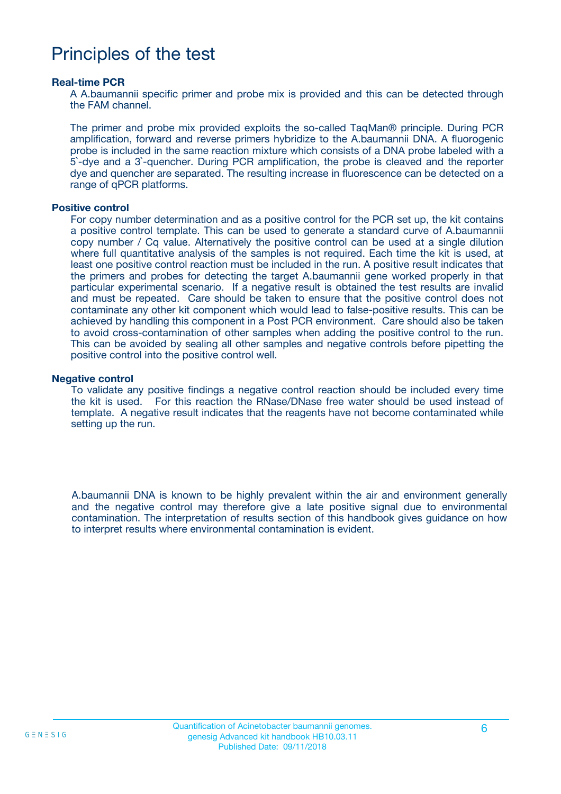### Principles of the test

#### **Real-time PCR**

A A.baumannii specific primer and probe mix is provided and this can be detected through the FAM channel.

The primer and probe mix provided exploits the so-called TaqMan® principle. During PCR amplification, forward and reverse primers hybridize to the A.baumannii DNA. A fluorogenic probe is included in the same reaction mixture which consists of a DNA probe labeled with a 5`-dye and a 3`-quencher. During PCR amplification, the probe is cleaved and the reporter dye and quencher are separated. The resulting increase in fluorescence can be detected on a range of qPCR platforms.

#### **Positive control**

For copy number determination and as a positive control for the PCR set up, the kit contains a positive control template. This can be used to generate a standard curve of A.baumannii copy number / Cq value. Alternatively the positive control can be used at a single dilution where full quantitative analysis of the samples is not required. Each time the kit is used, at least one positive control reaction must be included in the run. A positive result indicates that the primers and probes for detecting the target A.baumannii gene worked properly in that particular experimental scenario. If a negative result is obtained the test results are invalid and must be repeated. Care should be taken to ensure that the positive control does not contaminate any other kit component which would lead to false-positive results. This can be achieved by handling this component in a Post PCR environment. Care should also be taken to avoid cross-contamination of other samples when adding the positive control to the run. This can be avoided by sealing all other samples and negative controls before pipetting the positive control into the positive control well.

#### **Negative control**

To validate any positive findings a negative control reaction should be included every time the kit is used. For this reaction the RNase/DNase free water should be used instead of template. A negative result indicates that the reagents have not become contaminated while setting up the run.

A.baumannii DNA is known to be highly prevalent within the air and environment generally and the negative control may therefore give a late positive signal due to environmental contamination. The interpretation of results section of this handbook gives guidance on how to interpret results where environmental contamination is evident.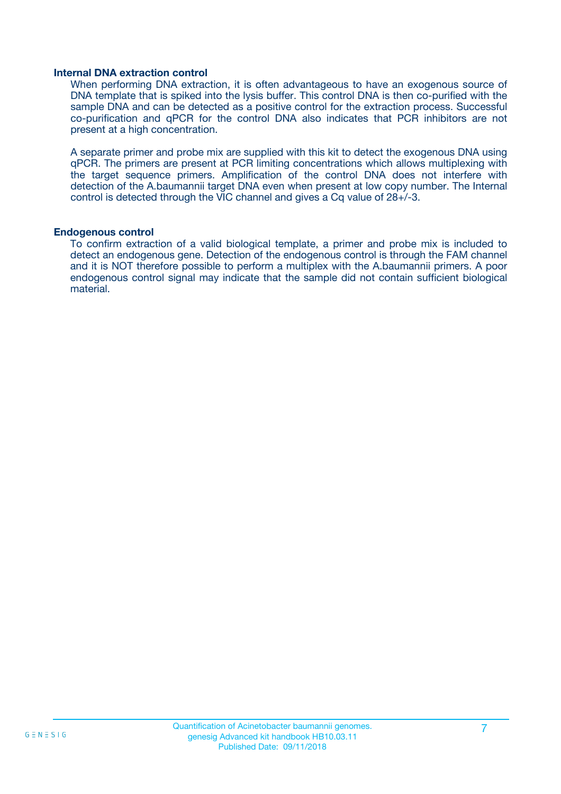#### **Internal DNA extraction control**

When performing DNA extraction, it is often advantageous to have an exogenous source of DNA template that is spiked into the lysis buffer. This control DNA is then co-purified with the sample DNA and can be detected as a positive control for the extraction process. Successful co-purification and qPCR for the control DNA also indicates that PCR inhibitors are not present at a high concentration.

A separate primer and probe mix are supplied with this kit to detect the exogenous DNA using qPCR. The primers are present at PCR limiting concentrations which allows multiplexing with the target sequence primers. Amplification of the control DNA does not interfere with detection of the A.baumannii target DNA even when present at low copy number. The Internal control is detected through the VIC channel and gives a Cq value of 28+/-3.

#### **Endogenous control**

To confirm extraction of a valid biological template, a primer and probe mix is included to detect an endogenous gene. Detection of the endogenous control is through the FAM channel and it is NOT therefore possible to perform a multiplex with the A.baumannii primers. A poor endogenous control signal may indicate that the sample did not contain sufficient biological material.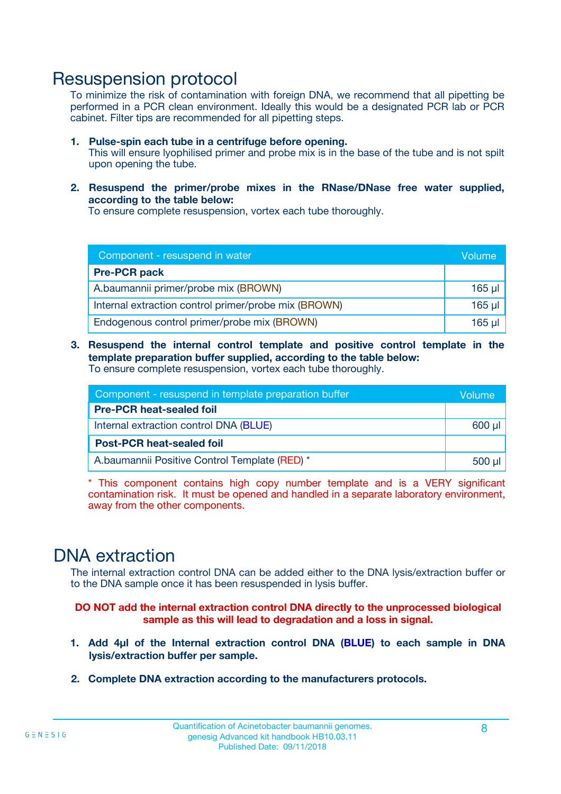### Resuspension protocol

To minimize the risk of contamination with foreign DNA, we recommend that all pipetting be performed in a PCR clean environment. Ideally this would be a designated PCR lab or PCR cabinet. Filter tips are recommended for all pipetting steps.

- **1. Pulse-spin each tube in a centrifuge before opening.** This will ensure lyophilised primer and probe mix is in the base of the tube and is not spilt upon opening the tube.
- **2. Resuspend the primer/probe mixes in the RNase/DNase free water supplied, according to the table below:**

To ensure complete resuspension, vortex each tube thoroughly.

| Component - resuspend in water                       |          |  |  |
|------------------------------------------------------|----------|--|--|
| <b>Pre-PCR pack</b>                                  |          |  |  |
| A.baumannii primer/probe mix (BROWN)                 |          |  |  |
| Internal extraction control primer/probe mix (BROWN) | $165$ µl |  |  |
| Endogenous control primer/probe mix (BROWN)          | $165$ µl |  |  |

**3. Resuspend the internal control template and positive control template in the template preparation buffer supplied, according to the table below:** To ensure complete resuspension, vortex each tube thoroughly.

| Component - resuspend in template preparation buffer |  |  |  |
|------------------------------------------------------|--|--|--|
| <b>Pre-PCR heat-sealed foil</b>                      |  |  |  |
| Internal extraction control DNA (BLUE)               |  |  |  |
| <b>Post-PCR heat-sealed foil</b>                     |  |  |  |
| A.baumannii Positive Control Template (RED) *        |  |  |  |

\* This component contains high copy number template and is a VERY significant contamination risk. It must be opened and handled in a separate laboratory environment, away from the other components.

### DNA extraction

The internal extraction control DNA can be added either to the DNA lysis/extraction buffer or to the DNA sample once it has been resuspended in lysis buffer.

**DO NOT add the internal extraction control DNA directly to the unprocessed biological sample as this will lead to degradation and a loss in signal.**

- **1. Add 4µl of the Internal extraction control DNA (BLUE) to each sample in DNA lysis/extraction buffer per sample.**
- **2. Complete DNA extraction according to the manufacturers protocols.**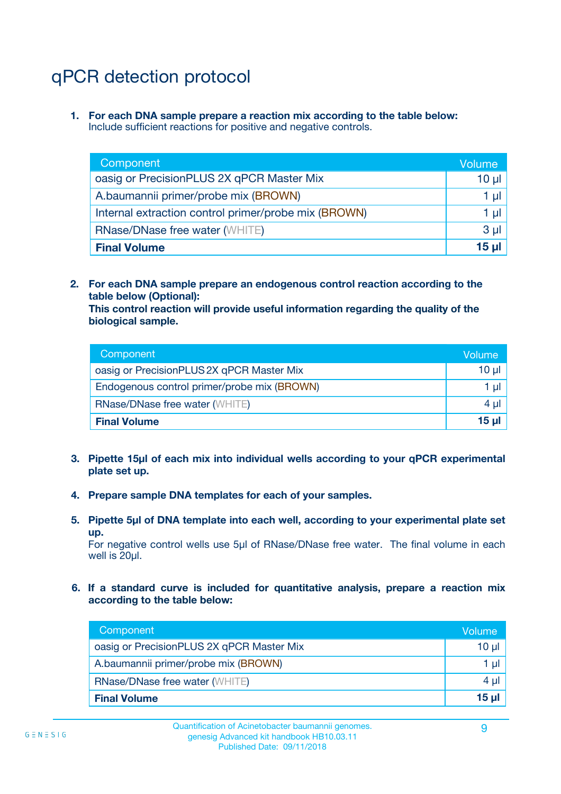# qPCR detection protocol

**1. For each DNA sample prepare a reaction mix according to the table below:** Include sufficient reactions for positive and negative controls.

| Component                                            | Volume   |
|------------------------------------------------------|----------|
| oasig or PrecisionPLUS 2X qPCR Master Mix            | $10 \mu$ |
| A.baumannii primer/probe mix (BROWN)                 | 1 µI l   |
| Internal extraction control primer/probe mix (BROWN) | 1 µl     |
| <b>RNase/DNase free water (WHITE)</b>                | $3 \mu$  |
| <b>Final Volume</b>                                  | 15 µl    |

**2. For each DNA sample prepare an endogenous control reaction according to the table below (Optional):**

**This control reaction will provide useful information regarding the quality of the biological sample.**

| Component                                   | Volume   |  |
|---------------------------------------------|----------|--|
| oasig or PrecisionPLUS 2X qPCR Master Mix   | $10 \mu$ |  |
| Endogenous control primer/probe mix (BROWN) |          |  |
| <b>RNase/DNase free water (WHITE)</b>       | $4 \mu$  |  |
| <b>Final Volume</b>                         | 15 µl    |  |

- **3. Pipette 15µl of each mix into individual wells according to your qPCR experimental plate set up.**
- **4. Prepare sample DNA templates for each of your samples.**
- **5. Pipette 5µl of DNA template into each well, according to your experimental plate set up.**

For negative control wells use 5µl of RNase/DNase free water. The final volume in each well is 20ul.

**6. If a standard curve is included for quantitative analysis, prepare a reaction mix according to the table below:**

| Component                                 | Volume          |
|-------------------------------------------|-----------------|
| oasig or PrecisionPLUS 2X qPCR Master Mix | $10 \mu$        |
| A.baumannii primer/probe mix (BROWN)      |                 |
| <b>RNase/DNase free water (WHITE)</b>     | 4 µl            |
| <b>Final Volume</b>                       | 15 <sub>µ</sub> |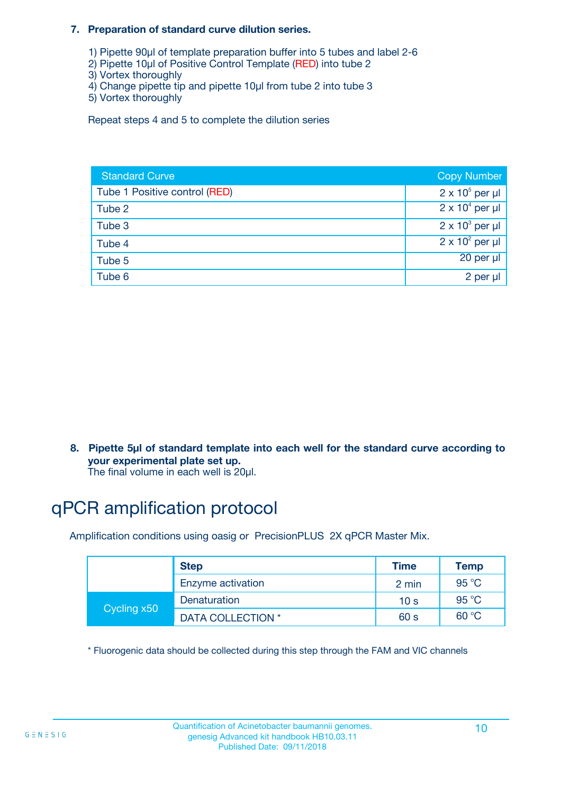#### **7. Preparation of standard curve dilution series.**

- 1) Pipette 90µl of template preparation buffer into 5 tubes and label 2-6
- 2) Pipette 10µl of Positive Control Template (RED) into tube 2
- 3) Vortex thoroughly
- 4) Change pipette tip and pipette 10µl from tube 2 into tube 3
- 5) Vortex thoroughly

Repeat steps 4 and 5 to complete the dilution series

| <b>Standard Curve</b>         | <b>Copy Number</b>     |
|-------------------------------|------------------------|
| Tube 1 Positive control (RED) | $2 \times 10^5$ per µl |
| Tube 2                        | $2 \times 10^4$ per µl |
| Tube 3                        | $2 \times 10^3$ per µl |
| Tube 4                        | $2 \times 10^2$ per µl |
| Tube 5                        | 20 per µl              |
| Tube 6                        | 2 per µl               |

**8. Pipette 5µl of standard template into each well for the standard curve according to your experimental plate set up.**

#### The final volume in each well is 20µl.

# qPCR amplification protocol

Amplification conditions using oasig or PrecisionPLUS 2X qPCR Master Mix.

|             | <b>Step</b>       | <b>Time</b>     | Temp    |
|-------------|-------------------|-----------------|---------|
|             | Enzyme activation | 2 min           | 95 °C   |
| Cycling x50 | Denaturation      | 10 <sub>s</sub> | 95 $°C$ |
|             | DATA COLLECTION * | 60 s            | 60 °C   |

\* Fluorogenic data should be collected during this step through the FAM and VIC channels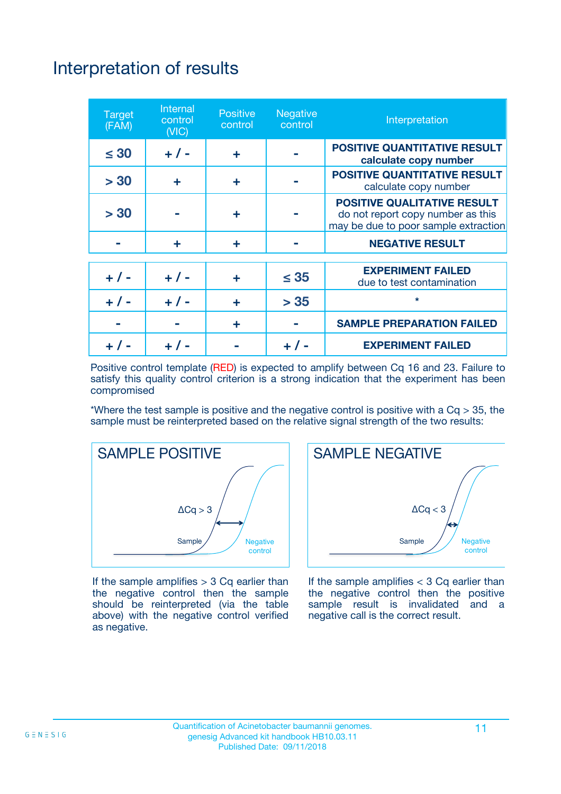# Interpretation of results

| <b>Target</b><br>(FAM) | Internal<br>control<br>(NIC) | <b>Positive</b><br>control | <b>Negative</b><br>control | Interpretation                                                                                                  |
|------------------------|------------------------------|----------------------------|----------------------------|-----------------------------------------------------------------------------------------------------------------|
| $\leq 30$              | $+ 1 -$                      | ÷                          |                            | <b>POSITIVE QUANTITATIVE RESULT</b><br>calculate copy number                                                    |
| > 30                   | ÷                            | ÷                          |                            | <b>POSITIVE QUANTITATIVE RESULT</b><br>calculate copy number                                                    |
| > 30                   |                              | ÷                          |                            | <b>POSITIVE QUALITATIVE RESULT</b><br>do not report copy number as this<br>may be due to poor sample extraction |
|                        | ÷                            | ÷                          |                            | <b>NEGATIVE RESULT</b>                                                                                          |
| $+ 1 -$                | $+ 1 -$                      | ÷                          | $\leq 35$                  | <b>EXPERIMENT FAILED</b><br>due to test contamination                                                           |
|                        | $+ 1 -$                      | ÷                          | > 35                       | $\star$                                                                                                         |
|                        |                              | ÷                          |                            | <b>SAMPLE PREPARATION FAILED</b>                                                                                |
|                        |                              |                            |                            | <b>EXPERIMENT FAILED</b>                                                                                        |

Positive control template (RED) is expected to amplify between Cq 16 and 23. Failure to satisfy this quality control criterion is a strong indication that the experiment has been compromised

\*Where the test sample is positive and the negative control is positive with a  $Cq > 35$ , the sample must be reinterpreted based on the relative signal strength of the two results:



If the sample amplifies  $> 3$  Cq earlier than the negative control then the sample should be reinterpreted (via the table above) with the negative control verified as negative.



If the sample amplifies  $<$  3 Cq earlier than the negative control then the positive sample result is invalidated and a negative call is the correct result.